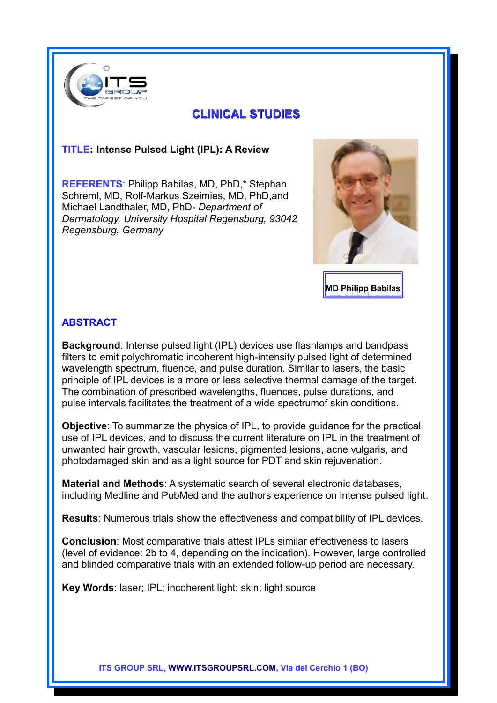

#### **TITLE: Intense Pulsed Light (IPL): A Review**

**REFERENTS**: Philipp Babilas, MD, PhD,\* Stephan Schreml, MD, Rolf-Markus Szeimies, MD, PhD,and Michael Landthaler, MD, PhD- *Department of Dermatology, University Hospital Regensburg, 93042 Regensburg, Germany*



**MD Philipp Babilas**

#### **ABSTRACT**

**Background**: Intense pulsed light (IPL) devices use flashlamps and bandpass filters to emit polychromatic incoherent high-intensity pulsed light of determined wavelength spectrum, fluence, and pulse duration. Similar to lasers, the basic principle of IPL devices is a more or less selective thermal damage of the target. The combination of prescribed wavelengths, fluences, pulse durations, and pulse intervals facilitates the treatment of a wide spectrumof skin conditions.

**Objective**: To summarize the physics of IPL, to provide guidance for the practical use of IPL devices, and to discuss the current literature on IPL in the treatment of unwanted hair growth, vascular lesions, pigmented lesions, acne vulgaris, and photodamaged skin and as a light source for PDT and skin rejuvenation.

**Material and Methods**: A systematic search of several electronic databases, including Medline and PubMed and the authors experience on intense pulsed light.

**Results**: Numerous trials show the effectiveness and compatibility of IPL devices.

**Conclusion**: Most comparative trials attest IPLs similar effectiveness to lasers (level of evidence: 2b to 4, depending on the indication). However, large controlled and blinded comparative trials with an extended follow-up period are necessary.

**Key Words**: laser; IPL; incoherent light; skin; light source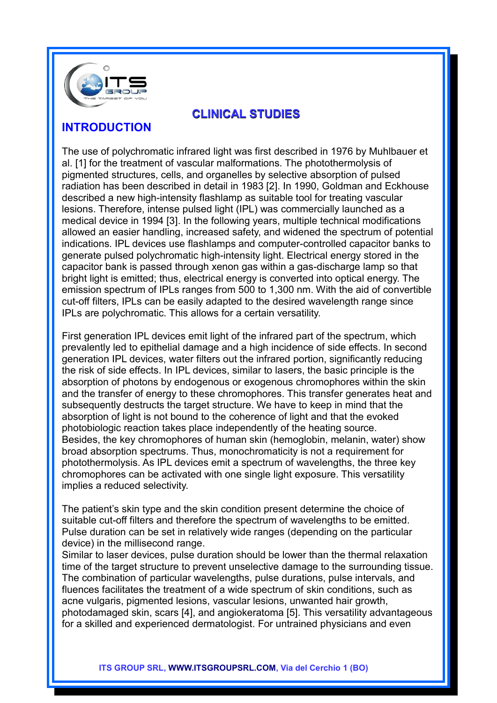

# **INTRODUCTION**

The use of polychromatic infrared light was first described in 1976 by Muhlbauer et al. [1] for the treatment of vascular malformations. The photothermolysis of pigmented structures, cells, and organelles by selective absorption of pulsed radiation has been described in detail in 1983 [2]. In 1990, Goldman and Eckhouse described a new high-intensity flashlamp as suitable tool for treating vascular lesions. Therefore, intense pulsed light (IPL) was commercially launched as a medical device in 1994 [3]. In the following years, multiple technical modifications allowed an easier handling, increased safety, and widened the spectrum of potential indications. IPL devices use flashlamps and computer-controlled capacitor banks to generate pulsed polychromatic high-intensity light. Electrical energy stored in the capacitor bank is passed through xenon gas within a gas-discharge lamp so that bright light is emitted; thus, electrical energy is converted into optical energy. The emission spectrum of IPLs ranges from 500 to 1,300 nm. With the aid of convertible cut-off filters, IPLs can be easily adapted to the desired wavelength range since IPLs are polychromatic. This allows for a certain versatility.

First generation IPL devices emit light of the infrared part of the spectrum, which prevalently led to epithelial damage and a high incidence of side effects. In second generation IPL devices, water filters out the infrared portion, significantly reducing the risk of side effects. In IPL devices, similar to lasers, the basic principle is the absorption of photons by endogenous or exogenous chromophores within the skin and the transfer of energy to these chromophores. This transfer generates heat and subsequently destructs the target structure. We have to keep in mind that the absorption of light is not bound to the coherence of light and that the evoked photobiologic reaction takes place independently of the heating source. Besides, the key chromophores of human skin (hemoglobin, melanin, water) show broad absorption spectrums. Thus, monochromaticity is not a requirement for photothermolysis. As IPL devices emit a spectrum of wavelengths, the three key chromophores can be activated with one single light exposure. This versatility implies a reduced selectivity.

The patient's skin type and the skin condition present determine the choice of suitable cut-off filters and therefore the spectrum of wavelengths to be emitted. Pulse duration can be set in relatively wide ranges (depending on the particular device) in the millisecond range.

Similar to laser devices, pulse duration should be lower than the thermal relaxation time of the target structure to prevent unselective damage to the surrounding tissue. The combination of particular wavelengths, pulse durations, pulse intervals, and fluences facilitates the treatment of a wide spectrum of skin conditions, such as acne vulgaris, pigmented lesions, vascular lesions, unwanted hair growth, photodamaged skin, scars [4], and angiokeratoma [5]. This versatility advantageous for a skilled and experienced dermatologist. For untrained physicians and even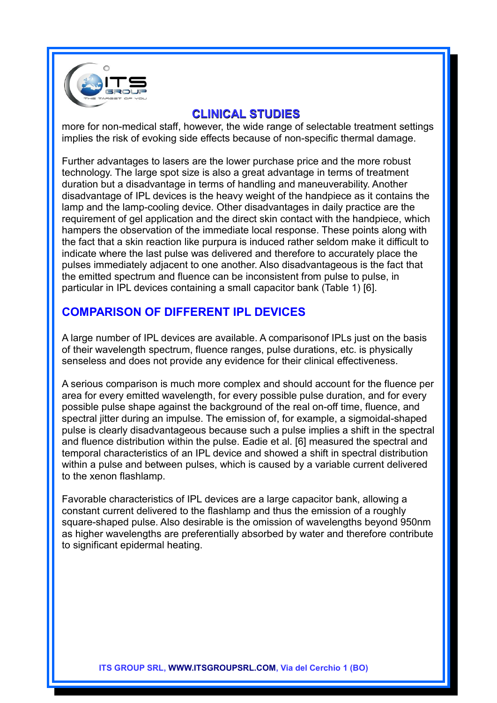

more for non-medical staff, however, the wide range of selectable treatment settings implies the risk of evoking side effects because of non-specific thermal damage.

Further advantages to lasers are the lower purchase price and the more robust technology. The large spot size is also a great advantage in terms of treatment duration but a disadvantage in terms of handling and maneuverability. Another disadvantage of IPL devices is the heavy weight of the handpiece as it contains the lamp and the lamp-cooling device. Other disadvantages in daily practice are the requirement of gel application and the direct skin contact with the handpiece, which hampers the observation of the immediate local response. These points along with the fact that a skin reaction like purpura is induced rather seldom make it difficult to indicate where the last pulse was delivered and therefore to accurately place the pulses immediately adjacent to one another. Also disadvantageous is the fact that the emitted spectrum and fluence can be inconsistent from pulse to pulse, in particular in IPL devices containing a small capacitor bank (Table 1) [6].

### **COMPARISON OF DIFFERENT IPL DEVICES**

A large number of IPL devices are available. A comparisonof IPLs just on the basis of their wavelength spectrum, fluence ranges, pulse durations, etc. is physically senseless and does not provide any evidence for their clinical effectiveness.

A serious comparison is much more complex and should account for the fluence per area for every emitted wavelength, for every possible pulse duration, and for every possible pulse shape against the background of the real on-off time, fluence, and spectral jitter during an impulse. The emission of, for example, a sigmoidal-shaped pulse is clearly disadvantageous because such a pulse implies a shift in the spectral and fluence distribution within the pulse. Eadie et al. [6] measured the spectral and temporal characteristics of an IPL device and showed a shift in spectral distribution within a pulse and between pulses, which is caused by a variable current delivered to the xenon flashlamp.

Favorable characteristics of IPL devices are a large capacitor bank, allowing a constant current delivered to the flashlamp and thus the emission of a roughly square-shaped pulse. Also desirable is the omission of wavelengths beyond 950nm as higher wavelengths are preferentially absorbed by water and therefore contribute to significant epidermal heating.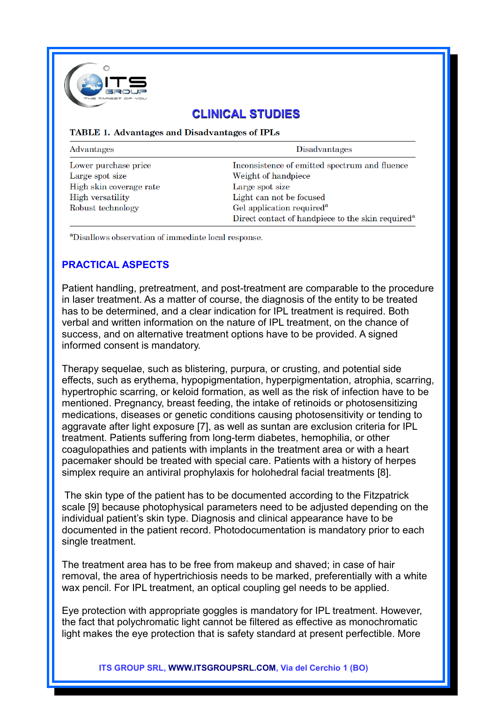

**TABLE 1. Advantages and Disadvantages of IPLs** 

| Advantages              | Disadvantages                                                 |
|-------------------------|---------------------------------------------------------------|
| Lower purchase price    | Inconsistence of emitted spectrum and fluence                 |
| Large spot size         | Weight of handpiece                                           |
| High skin coverage rate | Large spot size                                               |
| High versatility        | Light can not be focused                                      |
| Robust technology       | Gel application required <sup>a</sup>                         |
|                         | Direct contact of handpiece to the skin required <sup>a</sup> |

<sup>a</sup>Disallows observation of immediate local response.

#### **PRACTICAL ASPECTS**

Patient handling, pretreatment, and post-treatment are comparable to the procedure in laser treatment. As a matter of course, the diagnosis of the entity to be treated has to be determined, and a clear indication for IPL treatment is required. Both verbal and written information on the nature of IPL treatment, on the chance of success, and on alternative treatment options have to be provided. A signed informed consent is mandatory.

Therapy sequelae, such as blistering, purpura, or crusting, and potential side effects, such as erythema, hypopigmentation, hyperpigmentation, atrophia, scarring, hypertrophic scarring, or keloid formation, as well as the risk of infection have to be mentioned. Pregnancy, breast feeding, the intake of retinoids or photosensitizing medications, diseases or genetic conditions causing photosensitivity or tending to aggravate after light exposure [7], as well as suntan are exclusion criteria for IPL treatment. Patients suffering from long-term diabetes, hemophilia, or other coagulopathies and patients with implants in the treatment area or with a heart pacemaker should be treated with special care. Patients with a history of herpes simplex require an antiviral prophylaxis for holohedral facial treatments [8].

The skin type of the patient has to be documented according to the Fitzpatrick scale [9] because photophysical parameters need to be adjusted depending on the individual patient's skin type. Diagnosis and clinical appearance have to be documented in the patient record. Photodocumentation is mandatory prior to each single treatment.

The treatment area has to be free from makeup and shaved; in case of hair removal, the area of hypertrichiosis needs to be marked, preferentially with a white wax pencil. For IPL treatment, an optical coupling gel needs to be applied.

Eye protection with appropriate goggles is mandatory for IPL treatment. However, the fact that polychromatic light cannot be filtered as effective as monochromatic light makes the eye protection that is safety standard at present perfectible. More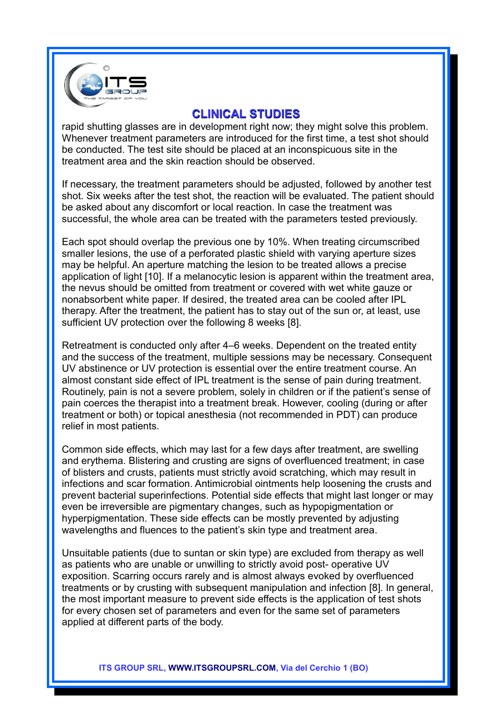

rapid shutting glasses are in development right now; they might solve this problem. Whenever treatment parameters are introduced for the first time, a test shot should be conducted. The test site should be placed at an inconspicuous site in the treatment area and the skin reaction should be observed.

If necessary, the treatment parameters should be adjusted, followed by another test shot. Six weeks after the test shot, the reaction will be evaluated. The patient should be asked about any discomfort or local reaction. In case the treatment was successful, the whole area can be treated with the parameters tested previously.

Each spot should overlap the previous one by 10%. When treating circumscribed smaller lesions, the use of a perforated plastic shield with varying aperture sizes may be helpful. An aperture matching the lesion to be treated allows a precise application of light [10]. If a melanocytic lesion is apparent within the treatment area, the nevus should be omitted from treatment or covered with wet white gauze or nonabsorbent white paper. If desired, the treated area can be cooled after IPL therapy. After the treatment, the patient has to stay out of the sun or, at least, use sufficient UV protection over the following 8 weeks [8].

Retreatment is conducted only after 4–6 weeks. Dependent on the treated entity and the success of the treatment, multiple sessions may be necessary. Consequent UV abstinence or UV protection is essential over the entire treatment course. An almost constant side effect of IPL treatment is the sense of pain during treatment. Routinely, pain is not a severe problem, solely in children or if the patient's sense of pain coerces the therapist into a treatment break. However, cooling (during or after treatment or both) or topical anesthesia (not recommended in PDT) can produce relief in most patients.

Common side effects, which may last for a few days after treatment, are swelling and erythema. Blistering and crusting are signs of overfluenced treatment; in case of blisters and crusts, patients must strictly avoid scratching, which may result in infections and scar formation. Antimicrobial ointments help loosening the crusts and prevent bacterial superinfections. Potential side effects that might last longer or may even be irreversible are pigmentary changes, such as hypopigmentation or hyperpigmentation. These side effects can be mostly prevented by adjusting wavelengths and fluences to the patient's skin type and treatment area.

Unsuitable patients (due to suntan or skin type) are excluded from therapy as well as patients who are unable or unwilling to strictly avoid post- operative UV exposition. Scarring occurs rarely and is almost always evoked by overfluenced treatments or by crusting with subsequent manipulation and infection [8]. In general, the most important measure to prevent side effects is the application of test shots for every chosen set of parameters and even for the same set of parameters applied at different parts of the body.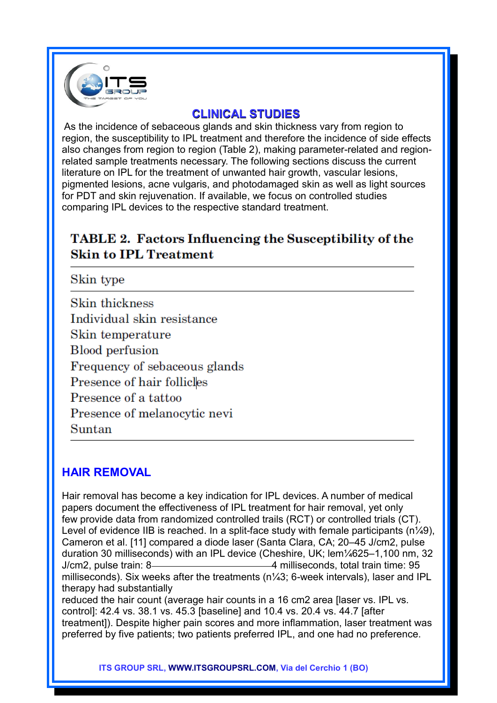

As the incidence of sebaceous glands and skin thickness vary from region to region, the susceptibility to IPL treatment and therefore the incidence of side effects also changes from region to region (Table 2), making parameter-related and regionrelated sample treatments necessary. The following sections discuss the current literature on IPL for the treatment of unwanted hair growth, vascular lesions, pigmented lesions, acne vulgaris, and photodamaged skin as well as light sources for PDT and skin rejuvenation. If available, we focus on controlled studies comparing IPL devices to the respective standard treatment.

# **TABLE 2. Factors Influencing the Susceptibility of the Skin to IPL Treatment**

Skin type

Skin thickness Individual skin resistance Skin temperature **Blood perfusion** Frequency of sebaceous glands Presence of hair follicles Presence of a tattoo Presence of melanocytic nevi Suntan

# **HAIR REMOVAL**

Hair removal has become a key indication for IPL devices. A number of medical papers document the effectiveness of IPL treatment for hair removal, yet only few provide data from randomized controlled trails (RCT) or controlled trials (CT). Level of evidence IIB is reached. In a split-face study with female participants (n<sup>1</sup>/49), Cameron et al. [11] compared a diode laser (Santa Clara, CA; 20–45 J/cm2, pulse duration 30 milliseconds) with an IPL device (Cheshire, UK; lem¼625–1,100 nm, 32 J/cm2, pulse train: 8————————————————————4 milliseconds, total train time: 95 milliseconds). Six weeks after the treatments (n¼3; 6-week intervals), laser and IPL therapy had substantially

reduced the hair count (average hair counts in a 16 cm2 area [laser vs. IPL vs. control]: 42.4 vs. 38.1 vs. 45.3 [baseline] and 10.4 vs. 20.4 vs. 44.7 [after treatment]). Despite higher pain scores and more inflammation, laser treatment was preferred by five patients; two patients preferred IPL, and one had no preference.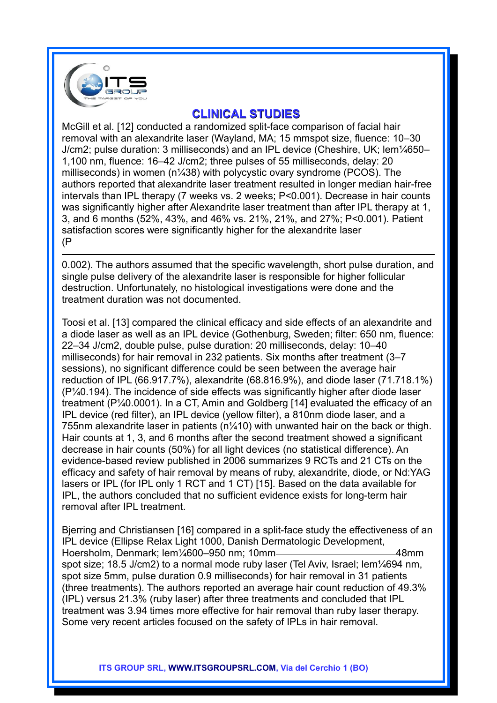

l

#### **CLINICAL STUDIES**

McGill et al. [12] conducted a randomized split-face comparison of facial hair removal with an alexandrite laser (Wayland, MA; 15 mmspot size, fluence: 10–30 J/cm2; pulse duration: 3 milliseconds) and an IPL device (Cheshire, UK; lem¼650– 1,100 nm, fluence: 16–42 J/cm2; three pulses of 55 milliseconds, delay: 20 milliseconds) in women (n¼38) with polycystic ovary syndrome (PCOS). The authors reported that alexandrite laser treatment resulted in longer median hair-free intervals than IPL therapy (7 weeks vs. 2 weeks; P<0.001). Decrease in hair counts was significantly higher after Alexandrite laser treatment than after IPL therapy at 1, 3, and 6 months (52%, 43%, and 46% vs. 21%, 21%, and 27%; P<0.001). Patient satisfaction scores were significantly higher for the alexandrite laser (P

0.002). The authors assumed that the specific wavelength, short pulse duration, and single pulse delivery of the alexandrite laser is responsible for higher follicular destruction. Unfortunately, no histological investigations were done and the treatment duration was not documented.

Toosi et al. [13] compared the clinical efficacy and side effects of an alexandrite and a diode laser as well as an IPL device (Gothenburg, Sweden; filter: 650 nm, fluence: 22–34 J/cm2, double pulse, pulse duration: 20 milliseconds, delay: 10–40 milliseconds) for hair removal in 232 patients. Six months after treatment (3–7 sessions), no significant difference could be seen between the average hair reduction of IPL (66.917.7%), alexandrite (68.816.9%), and diode laser (71.718.1%) (P¼0.194). The incidence of side effects was significantly higher after diode laser treatment (P¼0.0001). In a CT, Amin and Goldberg [14] evaluated the efficacy of an IPL device (red filter), an IPL device (yellow filter), a 810nm diode laser, and a 755nm alexandrite laser in patients ( $n\frac{1}{4}10$ ) with unwanted hair on the back or thigh. Hair counts at 1, 3, and 6 months after the second treatment showed a significant decrease in hair counts (50%) for all light devices (no statistical difference). An evidence-based review published in 2006 summarizes 9 RCTs and 21 CTs on the efficacy and safety of hair removal by means of ruby, alexandrite, diode, or Nd:YAG lasers or IPL (for IPL only 1 RCT and 1 CT) [15]. Based on the data available for IPL, the authors concluded that no sufficient evidence exists for long-term hair removal after IPL treatment.

Bjerring and Christiansen [16] compared in a split-face study the effectiveness of an IPL device (Ellipse Relax Light 1000, Danish Dermatologic Development, Hoersholm, Denmark; lem¼600–950 nm; 10mm—————————————48mm spot size; 18.5 J/cm2) to a normal mode ruby laser (Tel Aviv, Israel; lem¼694 nm, spot size 5mm, pulse duration 0.9 milliseconds) for hair removal in 31 patients (three treatments). The authors reported an average hair count reduction of 49.3% (IPL) versus 21.3% (ruby laser) after three treatments and concluded that IPL treatment was 3.94 times more effective for hair removal than ruby laser therapy. Some very recent articles focused on the safety of IPLs in hair removal.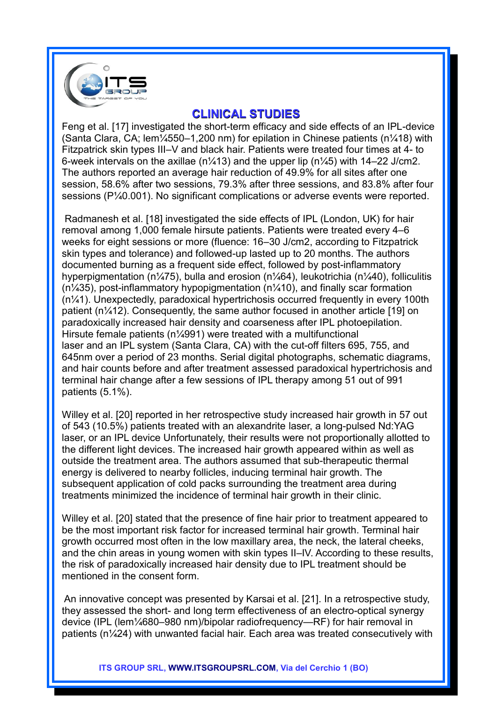

Feng et al. [17] investigated the short-term efficacy and side effects of an IPL-device (Santa Clara, CA; lem $\frac{1}{4}$ 550–1,200 nm) for epilation in Chinese patients (n $\frac{1}{4}$ 18) with Fitzpatrick skin types III–V and black hair. Patients were treated four times at 4- to 6-week intervals on the axillae ( $n\frac{1}{4}$ 13) and the upper lip ( $n\frac{1}{4}$ 5) with 14–22 J/cm2. The authors reported an average hair reduction of 49.9% for all sites after one session, 58.6% after two sessions, 79.3% after three sessions, and 83.8% after four sessions (P¼0.001). No significant complications or adverse events were reported.

Radmanesh et al. [18] investigated the side effects of IPL (London, UK) for hair removal among 1,000 female hirsute patients. Patients were treated every 4–6 weeks for eight sessions or more (fluence: 16–30 J/cm2, according to Fitzpatrick skin types and tolerance) and followed-up lasted up to 20 months. The authors documented burning as a frequent side effect, followed by post-inflammatory hyperpigmentation (n¼75), bulla and erosion (n¼64), leukotrichia (n¼40), folliculitis  $(n\frac{1}{4}35)$ , post-inflammatory hypopigmentation  $(n\frac{1}{4}10)$ , and finally scar formation (n¼1). Unexpectedly, paradoxical hypertrichosis occurred frequently in every 100th patient (n¼12). Consequently, the same author focused in another article [19] on paradoxically increased hair density and coarseness after IPL photoepilation. Hirsute female patients (n<sup>1</sup>/4991) were treated with a multifunctional laser and an IPL system (Santa Clara, CA) with the cut-off filters 695, 755, and 645nm over a period of 23 months. Serial digital photographs, schematic diagrams, and hair counts before and after treatment assessed paradoxical hypertrichosis and terminal hair change after a few sessions of IPL therapy among 51 out of 991 patients (5.1%).

Willey et al. [20] reported in her retrospective study increased hair growth in 57 out of 543 (10.5%) patients treated with an alexandrite laser, a long-pulsed Nd:YAG laser, or an IPL device Unfortunately, their results were not proportionally allotted to the different light devices. The increased hair growth appeared within as well as outside the treatment area. The authors assumed that sub-therapeutic thermal energy is delivered to nearby follicles, inducing terminal hair growth. The subsequent application of cold packs surrounding the treatment area during treatments minimized the incidence of terminal hair growth in their clinic.

Willey et al. [20] stated that the presence of fine hair prior to treatment appeared to be the most important risk factor for increased terminal hair growth. Terminal hair growth occurred most often in the low maxillary area, the neck, the lateral cheeks, and the chin areas in young women with skin types II–IV. According to these results, the risk of paradoxically increased hair density due to IPL treatment should be mentioned in the consent form.

An innovative concept was presented by Karsai et al. [21]. In a retrospective study, they assessed the short- and long term effectiveness of an electro-optical synergy device (IPL (lem¼680–980 nm)/bipolar radiofrequency—RF) for hair removal in patients (n¼24) with unwanted facial hair. Each area was treated consecutively with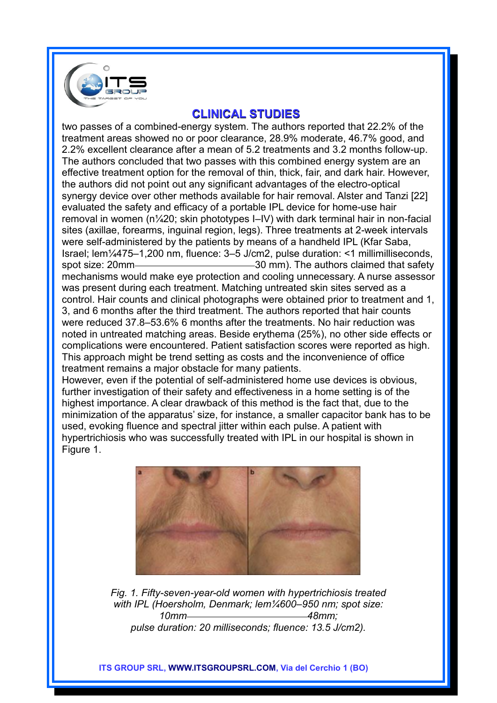

two passes of a combined-energy system. The authors reported that 22.2% of the treatment areas showed no or poor clearance, 28.9% moderate, 46.7% good, and 2.2% excellent clearance after a mean of 5.2 treatments and 3.2 months follow-up. The authors concluded that two passes with this combined energy system are an effective treatment option for the removal of thin, thick, fair, and dark hair. However, the authors did not point out any significant advantages of the electro-optical synergy device over other methods available for hair removal. Alster and Tanzi [22] evaluated the safety and efficacy of a portable IPL device for home-use hair removal in women (n¼20; skin phototypes I–IV) with dark terminal hair in non-facial sites (axillae, forearms, inguinal region, legs). Three treatments at 2-week intervals were self-administered by the patients by means of a handheld IPL (Kfar Saba, Israel; lem¼475–1,200 nm, fluence: 3–5 J/cm2, pulse duration: <1 millimilliseconds, spot size: 20mm 30 mm). The authors claimed that safety mechanisms would make eye protection and cooling unnecessary. A nurse assessor was present during each treatment. Matching untreated skin sites served as a control. Hair counts and clinical photographs were obtained prior to treatment and 1, 3, and 6 months after the third treatment. The authors reported that hair counts were reduced 37.8–53.6% 6 months after the treatments. No hair reduction was noted in untreated matching areas. Beside erythema (25%), no other side effects or complications were encountered. Patient satisfaction scores were reported as high. This approach might be trend setting as costs and the inconvenience of office treatment remains a major obstacle for many patients.

However, even if the potential of self-administered home use devices is obvious, further investigation of their safety and effectiveness in a home setting is of the highest importance. A clear drawback of this method is the fact that, due to the minimization of the apparatus' size, for instance, a smaller capacitor bank has to be used, evoking fluence and spectral jitter within each pulse. A patient with hypertrichiosis who was successfully treated with IPL in our hospital is shown in Figure 1.



*Fig. 1. Fifty-seven-year-old women with hypertrichiosis treated with IPL (Hoersholm, Denmark; lem¼600–950 nm; spot size: 10mm 48mm; pulse duration: 20 milliseconds; fluence: 13.5 J/cm2).*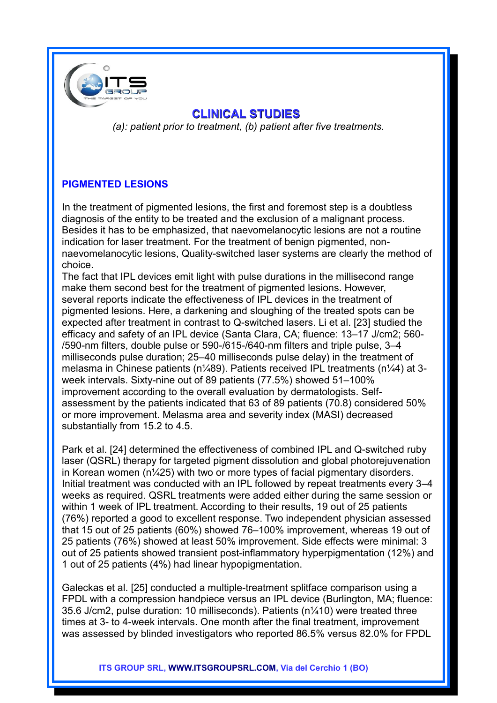

*(a): patient prior to treatment, (b) patient after five treatments.*

#### **PIGMENTED LESIONS**

In the treatment of pigmented lesions, the first and foremost step is a doubtless diagnosis of the entity to be treated and the exclusion of a malignant process. Besides it has to be emphasized, that naevomelanocytic lesions are not a routine indication for laser treatment. For the treatment of benign pigmented, nonnaevomelanocytic lesions, Quality-switched laser systems are clearly the method of choice.

The fact that IPL devices emit light with pulse durations in the millisecond range make them second best for the treatment of pigmented lesions. However, several reports indicate the effectiveness of IPL devices in the treatment of pigmented lesions. Here, a darkening and sloughing of the treated spots can be expected after treatment in contrast to Q-switched lasers. Li et al. [23] studied the efficacy and safety of an IPL device (Santa Clara, CA; fluence: 13–17 J/cm2; 560- /590-nm filters, double pulse or 590-/615-/640-nm filters and triple pulse, 3–4 milliseconds pulse duration; 25–40 milliseconds pulse delay) in the treatment of melasma in Chinese patients (n¼89). Patients received IPL treatments (n¼4) at 3week intervals. Sixty-nine out of 89 patients (77.5%) showed 51–100% improvement according to the overall evaluation by dermatologists. Selfassessment by the patients indicated that 63 of 89 patients (70.8) considered 50% or more improvement. Melasma area and severity index (MASI) decreased substantially from 15.2 to 4.5.

Park et al. [24] determined the effectiveness of combined IPL and Q-switched ruby laser (QSRL) therapy for targeted pigment dissolution and global photorejuvenation in Korean women (n<sup>1</sup>/<sub>4</sub>25) with two or more types of facial pigmentary disorders. Initial treatment was conducted with an IPL followed by repeat treatments every 3–4 weeks as required. QSRL treatments were added either during the same session or within 1 week of IPL treatment. According to their results, 19 out of 25 patients (76%) reported a good to excellent response. Two independent physician assessed that 15 out of 25 patients (60%) showed 76–100% improvement, whereas 19 out of 25 patients (76%) showed at least 50% improvement. Side effects were minimal: 3 out of 25 patients showed transient post-inflammatory hyperpigmentation (12%) and 1 out of 25 patients (4%) had linear hypopigmentation.

Galeckas et al. [25] conducted a multiple-treatment splitface comparison using a FPDL with a compression handpiece versus an IPL device (Burlington, MA; fluence: 35.6 J/cm2, pulse duration: 10 milliseconds). Patients (n¼10) were treated three times at 3- to 4-week intervals. One month after the final treatment, improvement was assessed by blinded investigators who reported 86.5% versus 82.0% for FPDL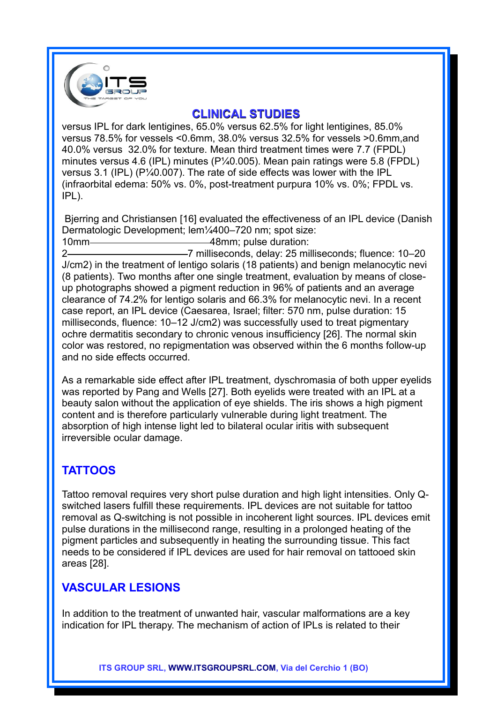

versus IPL for dark lentigines, 65.0% versus 62.5% for light lentigines, 85.0% versus 78.5% for vessels <0.6mm, 38.0% versus 32.5% for vessels >0.6mm,and 40.0% versus 32.0% for texture. Mean third treatment times were 7.7 (FPDL) minutes versus 4.6 (IPL) minutes (P¼0.005). Mean pain ratings were 5.8 (FPDL) versus 3.1 (IPL) (P¼0.007). The rate of side effects was lower with the IPL (infraorbital edema: 50% vs. 0%, post-treatment purpura 10% vs. 0%; FPDL vs. IPL).

Bjerring and Christiansen [16] evaluated the effectiveness of an IPL device (Danish Dermatologic Development; lem¼400–720 nm; spot size:

10mm-**10mm** 

2 7 milliseconds, delay: 25 milliseconds; fluence: 10–20 J/cm2) in the treatment of lentigo solaris (18 patients) and benign melanocytic nevi (8 patients). Two months after one single treatment, evaluation by means of closeup photographs showed a pigment reduction in 96% of patients and an average clearance of 74.2% for lentigo solaris and 66.3% for melanocytic nevi. In a recent case report, an IPL device (Caesarea, Israel; filter: 570 nm, pulse duration: 15 milliseconds, fluence: 10–12 J/cm2) was successfully used to treat pigmentary ochre dermatitis secondary to chronic venous insufficiency [26]. The normal skin color was restored, no repigmentation was observed within the 6 months follow-up and no side effects occurred.

As a remarkable side effect after IPL treatment, dyschromasia of both upper eyelids was reported by Pang and Wells [27]. Both eyelids were treated with an IPL at a beauty salon without the application of eye shields. The iris shows a high pigment content and is therefore particularly vulnerable during light treatment. The absorption of high intense light led to bilateral ocular iritis with subsequent irreversible ocular damage.

# **TATTOOS**

Tattoo removal requires very short pulse duration and high light intensities. Only Qswitched lasers fulfill these requirements. IPL devices are not suitable for tattoo removal as Q-switching is not possible in incoherent light sources. IPL devices emit pulse durations in the millisecond range, resulting in a prolonged heating of the pigment particles and subsequently in heating the surrounding tissue. This fact needs to be considered if IPL devices are used for hair removal on tattooed skin areas [28].

### **VASCULAR LESIONS**

In addition to the treatment of unwanted hair, vascular malformations are a key indication for IPL therapy. The mechanism of action of IPLs is related to their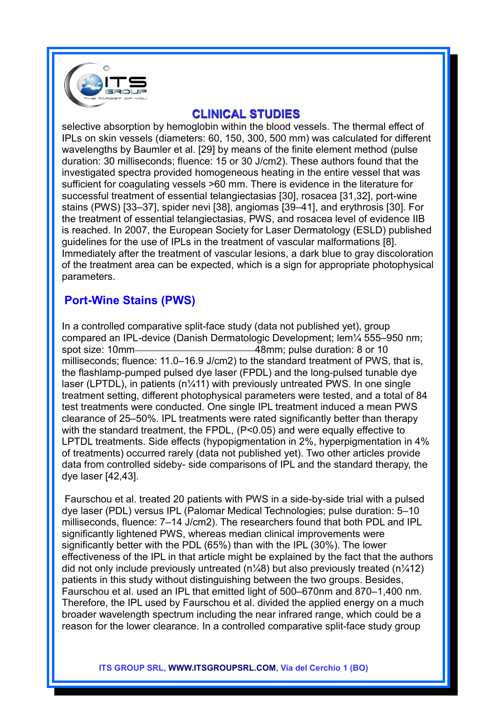

selective absorption by hemoglobin within the blood vessels. The thermal effect of IPLs on skin vessels (diameters: 60, 150, 300, 500 mm) was calculated for different wavelengths by Baumler et al. [29] by means of the finite element method (pulse duration: 30 milliseconds; fluence: 15 or 30 J/cm2). These authors found that the investigated spectra provided homogeneous heating in the entire vessel that was sufficient for coagulating vessels >60 mm. There is evidence in the literature for successful treatment of essential telangiectasias [30], rosacea [31,32], port-wine stains (PWS) [33–37], spider nevi [38], angiomas [39–41], and erythrosis [30]. For the treatment of essential telangiectasias, PWS, and rosacea level of evidence IIB is reached. In 2007, the European Society for Laser Dermatology (ESLD) published guidelines for the use of IPLs in the treatment of vascular malformations [8]. Immediately after the treatment of vascular lesions, a dark blue to gray discoloration of the treatment area can be expected, which is a sign for appropriate photophysical parameters.

### **Port-Wine Stains (PWS)**

In a controlled comparative split-face study (data not published yet), group compared an IPL-device (Danish Dermatologic Development; lem¼ 555–950 nm; spot size: 10mm 48mm; pulse duration: 8 or 10 milliseconds; fluence: 11.0–16.9 J/cm2) to the standard treatment of PWS, that is, the flashlamp-pumped pulsed dye laser (FPDL) and the long-pulsed tunable dye laser (LPTDL), in patients ( $n\frac{1}{4}$ 11) with previously untreated PWS. In one single treatment setting, different photophysical parameters were tested, and a total of 84 test treatments were conducted. One single IPL treatment induced a mean PWS clearance of 25–50%. IPL treatments were rated significantly better than therapy with the standard treatment, the FPDL, (P<0.05) and were equally effective to LPTDL treatments. Side effects (hypopigmentation in 2%, hyperpigmentation in 4% of treatments) occurred rarely (data not published yet). Two other articles provide data from controlled sideby- side comparisons of IPL and the standard therapy, the dye laser [42,43].

Faurschou et al. treated 20 patients with PWS in a side-by-side trial with a pulsed dye laser (PDL) versus IPL (Palomar Medical Technologies; pulse duration: 5–10 milliseconds, fluence: 7–14 J/cm2). The researchers found that both PDL and IPL significantly lightened PWS, whereas median clinical improvements were significantly better with the PDL (65%) than with the IPL (30%). The lower effectiveness of the IPL in that article might be explained by the fact that the authors did not only include previously untreated ( $n\frac{1}{8}$ ) but also previously treated ( $n\frac{1}{4}12$ ) patients in this study without distinguishing between the two groups. Besides, Faurschou et al. used an IPL that emitted light of 500–670nm and 870–1,400 nm. Therefore, the IPL used by Faurschou et al. divided the applied energy on a much broader wavelength spectrum including the near infrared range, which could be a reason for the lower clearance. In a controlled comparative split-face study group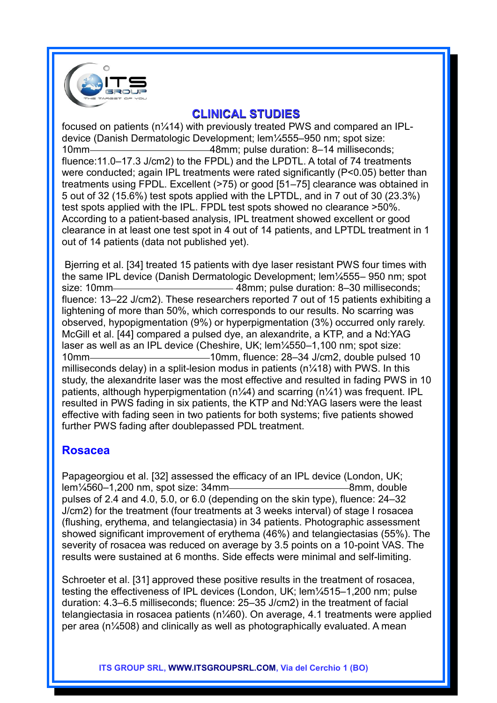

focused on patients (n<sup>1</sup>/<sub>4</sub>14) with previously treated PWS and compared an IPLdevice (Danish Dermatologic Development; lem¼555–950 nm; spot size: 10mm-**10mm** 48mm; pulse duration: 8-14 milliseconds; fluence:11.0–17.3 J/cm2) to the FPDL) and the LPDTL. A total of 74 treatments were conducted; again IPL treatments were rated significantly (P<0.05) better than treatments using FPDL. Excellent (>75) or good [51–75] clearance was obtained in 5 out of 32 (15.6%) test spots applied with the LPTDL, and in 7 out of 30 (23.3%) test spots applied with the IPL. FPDL test spots showed no clearance >50%. According to a patient-based analysis, IPL treatment showed excellent or good clearance in at least one test spot in 4 out of 14 patients, and LPTDL treatment in 1 out of 14 patients (data not published yet).

Bjerring et al. [34] treated 15 patients with dye laser resistant PWS four times with the same IPL device (Danish Dermatologic Development; lem¼555– 950 nm; spot size: 10mm 48mm; pulse duration: 8–30 milliseconds; fluence: 13–22 J/cm2). These researchers reported 7 out of 15 patients exhibiting a lightening of more than 50%, which corresponds to our results. No scarring was observed, hypopigmentation (9%) or hyperpigmentation (3%) occurred only rarely. McGill et al. [44] compared a pulsed dye, an alexandrite, a KTP, and a Nd:YAG laser as well as an IPL device (Cheshire, UK; lem¼550–1,100 nm; spot size: 10mm 10mm, fluence: 28–34 J/cm2, double pulsed 10 milliseconds delay) in a split-lesion modus in patients  $(n\frac{1}{4}18)$  with PWS. In this study, the alexandrite laser was the most effective and resulted in fading PWS in 10 patients, although hyperpigmentation ( $n\frac{1}{4}$ ) and scarring ( $n\frac{1}{4}$ ) was frequent. IPL resulted in PWS fading in six patients, the KTP and Nd:YAG lasers were the least effective with fading seen in two patients for both systems; five patients showed further PWS fading after doublepassed PDL treatment.

### **Rosacea**

Papageorgiou et al. [32] assessed the efficacy of an IPL device (London, UK; lem¼560–1,200 nm, spot size: 34mm - **Example 2011** 200 mm, double pulses of 2.4 and 4.0, 5.0, or 6.0 (depending on the skin type), fluence: 24–32 J/cm2) for the treatment (four treatments at 3 weeks interval) of stage I rosacea (flushing, erythema, and telangiectasia) in 34 patients. Photographic assessment showed significant improvement of erythema (46%) and telangiectasias (55%). The severity of rosacea was reduced on average by 3.5 points on a 10-point VAS. The results were sustained at 6 months. Side effects were minimal and self-limiting.

Schroeter et al. [31] approved these positive results in the treatment of rosacea, testing the effectiveness of IPL devices (London, UK; lem¼515–1,200 nm; pulse duration: 4.3–6.5 milliseconds; fluence: 25–35 J/cm2) in the treatment of facial telangiectasia in rosacea patients (n¼60). On average, 4.1 treatments were applied per area (n¼508) and clinically as well as photographically evaluated. A mean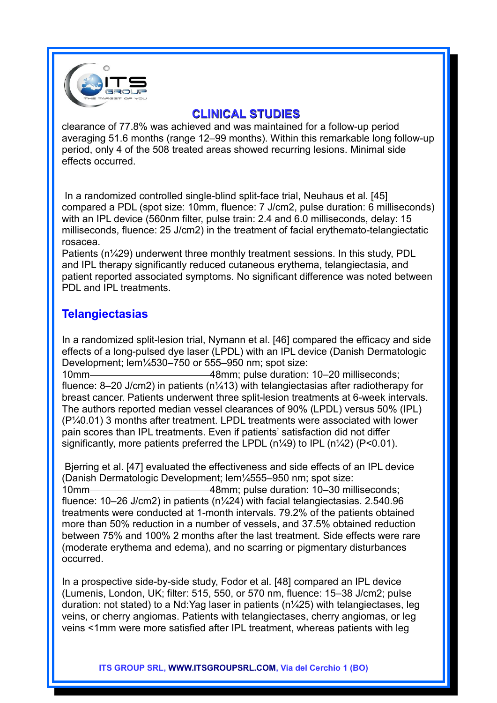

clearance of 77.8% was achieved and was maintained for a follow-up period averaging 51.6 months (range 12–99 months). Within this remarkable long follow-up period, only 4 of the 508 treated areas showed recurring lesions. Minimal side effects occurred.

In a randomized controlled single-blind split-face trial, Neuhaus et al. [45] compared a PDL (spot size: 10mm, fluence: 7 J/cm2, pulse duration: 6 milliseconds) with an IPL device (560nm filter, pulse train: 2.4 and 6.0 milliseconds, delay: 15 milliseconds, fluence: 25 J/cm2) in the treatment of facial erythemato-telangiectatic rosacea.

Patients (n<sup>1/429</sup>) underwent three monthly treatment sessions. In this study, PDL and IPL therapy significantly reduced cutaneous erythema, telangiectasia, and patient reported associated symptoms. No significant difference was noted between PDL and IPL treatments.

## **Telangiectasias**

In a randomized split-lesion trial, Nymann et al. [46] compared the efficacy and side effects of a long-pulsed dye laser (LPDL) with an IPL device (Danish Dermatologic Development; lem¼530–750 or 555–950 nm; spot size:

10mm-**10mm** 48mm; pulse duration: 10–20 milliseconds; fluence: 8–20 J/cm2) in patients  $(n/413)$  with telangiectasias after radiotherapy for breast cancer. Patients underwent three split-lesion treatments at 6-week intervals. The authors reported median vessel clearances of 90% (LPDL) versus 50% (IPL) (P¼0.01) 3 months after treatment. LPDL treatments were associated with lower pain scores than IPL treatments. Even if patients' satisfaction did not differ significantly, more patients preferred the LPDL  $(n\frac{1}{49})$  to IPL  $(n\frac{1}{42})$  (P<0.01).

Bjerring et al. [47] evaluated the effectiveness and side effects of an IPL device (Danish Dermatologic Development; lem¼555–950 nm; spot size:

10mm-**10mm** 48mm; pulse duration: 10-30 milliseconds; fluence: 10–26 J/cm2) in patients (n¼24) with facial telangiectasias. 2.540.96 treatments were conducted at 1-month intervals. 79.2% of the patients obtained more than 50% reduction in a number of vessels, and 37.5% obtained reduction between 75% and 100% 2 months after the last treatment. Side effects were rare (moderate erythema and edema), and no scarring or pigmentary disturbances occurred.

In a prospective side-by-side study, Fodor et al. [48] compared an IPL device (Lumenis, London, UK; filter: 515, 550, or 570 nm, fluence: 15–38 J/cm2; pulse duration: not stated) to a Nd:Yag laser in patients (n¼25) with telangiectases, leg veins, or cherry angiomas. Patients with telangiectases, cherry angiomas, or leg veins <1mm were more satisfied after IPL treatment, whereas patients with leg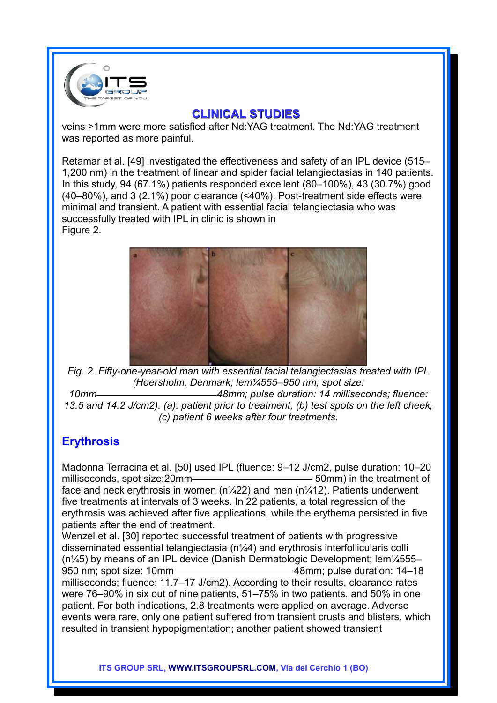

veins >1mm were more satisfied after Nd:YAG treatment. The Nd:YAG treatment was reported as more painful.

Retamar et al. [49] investigated the effectiveness and safety of an IPL device (515– 1,200 nm) in the treatment of linear and spider facial telangiectasias in 140 patients. In this study, 94 (67.1%) patients responded excellent (80–100%), 43 (30.7%) good (40–80%), and 3 (2.1%) poor clearance (<40%). Post-treatment side effects were minimal and transient. A patient with essential facial telangiectasia who was successfully treated with IPL in clinic is shown in Figure 2.



*Fig. 2. Fifty-one-year-old man with essential facial telangiectasias treated with IPL (Hoersholm, Denmark; lem¼555–950 nm; spot size:* 

*10mm 48mm; pulse duration: 14 milliseconds; fluence: 13.5 and 14.2 J/cm2). (a): patient prior to treatment, (b) test spots on the left cheek, (c) patient 6 weeks after four treatments.*

# **Erythrosis**

Madonna Terracina et al. [50] used IPL (fluence: 9–12 J/cm2, pulse duration: 10–20 milliseconds, spot size: 20mm face and neck erythrosis in women ( $n\frac{1}{22}$ ) and men ( $n\frac{1}{41}$ ). Patients underwent five treatments at intervals of 3 weeks. In 22 patients, a total regression of the erythrosis was achieved after five applications, while the erythema persisted in five patients after the end of treatment.

Wenzel et al. [30] reported successful treatment of patients with progressive disseminated essential telangiectasia (n¼4) and erythrosis interfollicularis colli ( $n\frac{1}{4}$ 5) by means of an IPL device (Danish Dermatologic Development; lem $\frac{1}{4}$ 555– 950 nm; spot size: 10mm entitled and the 48mm; pulse duration: 14–18 milliseconds; fluence: 11.7–17 J/cm2). According to their results, clearance rates were 76–90% in six out of nine patients, 51–75% in two patients, and 50% in one patient. For both indications, 2.8 treatments were applied on average. Adverse events were rare, only one patient suffered from transient crusts and blisters, which resulted in transient hypopigmentation; another patient showed transient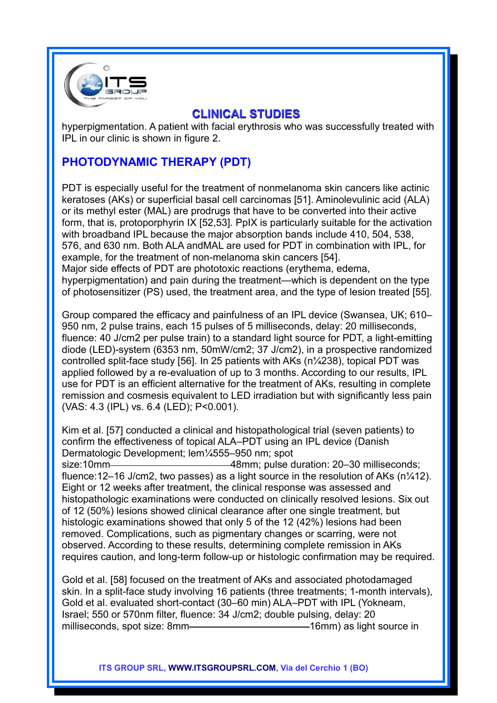

hyperpigmentation. A patient with facial erythrosis who was successfully treated with IPL in our clinic is shown in figure 2.

# **PHOTODYNAMIC THERAPY (PDT)**

PDT is especially useful for the treatment of nonmelanoma skin cancers like actinic keratoses (AKs) or superficial basal cell carcinomas [51]. Aminolevulinic acid (ALA) or its methyl ester (MAL) are prodrugs that have to be converted into their active form, that is, protoporphyrin IX [52,53]. PpIX is particularly suitable for the activation with broadband IPL because the major absorption bands include 410, 504, 538, 576, and 630 nm. Both ALA andMAL are used for PDT in combination with IPL, for example, for the treatment of non-melanoma skin cancers [54]. Major side effects of PDT are phototoxic reactions (erythema, edema, hyperpigmentation) and pain during the treatment—which is dependent on the type of photosensitizer (PS) used, the treatment area, and the type of lesion treated [55].

Group compared the efficacy and painfulness of an IPL device (Swansea, UK; 610– 950 nm, 2 pulse trains, each 15 pulses of 5 milliseconds, delay: 20 milliseconds, fluence: 40 J/cm2 per pulse train) to a standard light source for PDT, a light-emitting diode (LED)-system (6353 nm, 50mW/cm2; 37 J/cm2), in a prospective randomized controlled split-face study [56]. In 25 patients with AKs (n¼238), topical PDT was applied followed by a re-evaluation of up to 3 months. According to our results, IPL use for PDT is an efficient alternative for the treatment of AKs, resulting in complete remission and cosmesis equivalent to LED irradiation but with significantly less pain (VAS: 4.3 (IPL) vs. 6.4 (LED); P<0.001).

Kim et al. [57] conducted a clinical and histopathological trial (seven patients) to confirm the effectiveness of topical ALA–PDT using an IPL device (Danish Dermatologic Development; lem¼555–950 nm; spot size:10mm———————————————————————48mm; pulse duration: 20–30 milliseconds; fluence:12–16 J/cm2, two passes) as a light source in the resolution of AKs  $(n\frac{1}{4}12)$ . Eight or 12 weeks after treatment, the clinical response was assessed and histopathologic examinations were conducted on clinically resolved lesions. Six out of 12 (50%) lesions showed clinical clearance after one single treatment, but histologic examinations showed that only 5 of the 12 (42%) lesions had been removed. Complications, such as pigmentary changes or scarring, were not observed. According to these results, determining complete remission in AKs requires caution, and long-term follow-up or histologic confirmation may be required.

Gold et al. [58] focused on the treatment of AKs and associated photodamaged skin. In a split-face study involving 16 patients (three treatments; 1-month intervals), Gold et al. evaluated short-contact (30–60 min) ALA–PDT with IPL (Yokneam, Israel; 550 or 570nm filter, fluence: 34 J/cm2; double pulsing, delay: 20 milliseconds, spot size: 8mm—————————————————————16mm) as light source in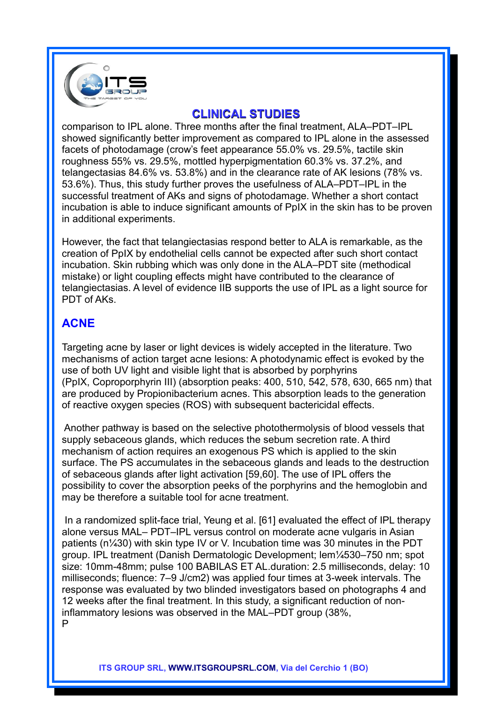

comparison to IPL alone. Three months after the final treatment, ALA–PDT–IPL showed significantly better improvement as compared to IPL alone in the assessed facets of photodamage (crow's feet appearance 55.0% vs. 29.5%, tactile skin roughness 55% vs. 29.5%, mottled hyperpigmentation 60.3% vs. 37.2%, and telangectasias 84.6% vs. 53.8%) and in the clearance rate of AK lesions (78% vs. 53.6%). Thus, this study further proves the usefulness of ALA–PDT–IPL in the successful treatment of AKs and signs of photodamage. Whether a short contact incubation is able to induce significant amounts of PpIX in the skin has to be proven in additional experiments.

However, the fact that telangiectasias respond better to ALA is remarkable, as the creation of PpIX by endothelial cells cannot be expected after such short contact incubation. Skin rubbing which was only done in the ALA–PDT site (methodical mistake) or light coupling effects might have contributed to the clearance of telangiectasias. A level of evidence IIB supports the use of IPL as a light source for PDT of AKs.

# **ACNE**

Targeting acne by laser or light devices is widely accepted in the literature. Two mechanisms of action target acne lesions: A photodynamic effect is evoked by the use of both UV light and visible light that is absorbed by porphyrins (PpIX, Coproporphyrin III) (absorption peaks: 400, 510, 542, 578, 630, 665 nm) that are produced by Propionibacterium acnes. This absorption leads to the generation of reactive oxygen species (ROS) with subsequent bactericidal effects.

Another pathway is based on the selective photothermolysis of blood vessels that supply sebaceous glands, which reduces the sebum secretion rate. A third mechanism of action requires an exogenous PS which is applied to the skin surface. The PS accumulates in the sebaceous glands and leads to the destruction of sebaceous glands after light activation [59,60]. The use of IPL offers the possibility to cover the absorption peeks of the porphyrins and the hemoglobin and may be therefore a suitable tool for acne treatment.

In a randomized split-face trial, Yeung et al. [61] evaluated the effect of IPL therapy alone versus MAL– PDT–IPL versus control on moderate acne vulgaris in Asian patients (n¼30) with skin type IV or V. Incubation time was 30 minutes in the PDT group. IPL treatment (Danish Dermatologic Development; lem¼530–750 nm; spot size: 10mm-48mm; pulse 100 BABILAS ET AL.duration: 2.5 milliseconds, delay: 10 milliseconds; fluence: 7–9 J/cm2) was applied four times at 3-week intervals. The response was evaluated by two blinded investigators based on photographs 4 and 12 weeks after the final treatment. In this study, a significant reduction of noninflammatory lesions was observed in the MAL–PDT group (38%,  $\mathbf D$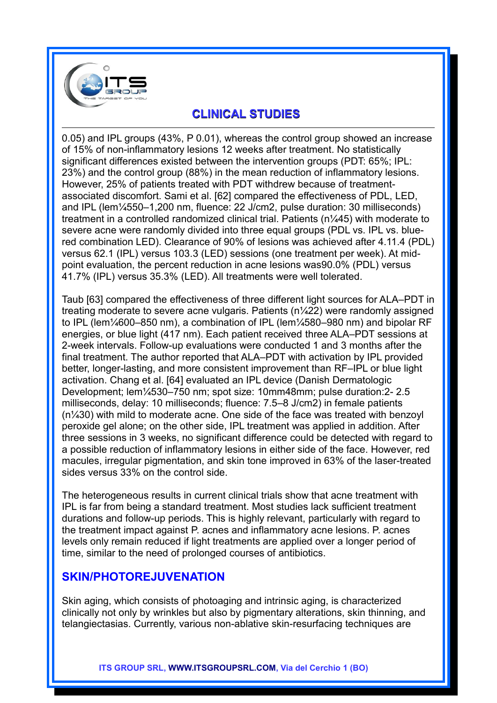

l

### **CLINICAL STUDIES**

0.05) and IPL groups (43%, P 0.01), whereas the control group showed an increase of 15% of non-inflammatory lesions 12 weeks after treatment. No statistically significant differences existed between the intervention groups (PDT: 65%; IPL: 23%) and the control group (88%) in the mean reduction of inflammatory lesions. However, 25% of patients treated with PDT withdrew because of treatmentassociated discomfort. Sami et al. [62] compared the effectiveness of PDL, LED, and IPL (lem¼550–1,200 nm, fluence: 22 J/cm2, pulse duration: 30 milliseconds) treatment in a controlled randomized clinical trial. Patients (n<sup>1</sup>/45) with moderate to severe acne were randomly divided into three equal groups (PDL vs. IPL vs. bluered combination LED). Clearance of 90% of lesions was achieved after 4.11.4 (PDL) versus 62.1 (IPL) versus 103.3 (LED) sessions (one treatment per week). At midpoint evaluation, the percent reduction in acne lesions was90.0% (PDL) versus 41.7% (IPL) versus 35.3% (LED). All treatments were well tolerated.

Taub [63] compared the effectiveness of three different light sources for ALA–PDT in treating moderate to severe acne vulgaris. Patients (n¼22) were randomly assigned to IPL (lem¼600–850 nm), a combination of IPL (lem¼580–980 nm) and bipolar RF energies, or blue light (417 nm). Each patient received three ALA–PDT sessions at 2-week intervals. Follow-up evaluations were conducted 1 and 3 months after the final treatment. The author reported that ALA–PDT with activation by IPL provided better, longer-lasting, and more consistent improvement than RF–IPL or blue light activation. Chang et al. [64] evaluated an IPL device (Danish Dermatologic Development; lem¼530–750 nm; spot size: 10mm48mm; pulse duration:2- 2.5 milliseconds, delay: 10 milliseconds; fluence: 7.5–8 J/cm2) in female patients (n¼30) with mild to moderate acne. One side of the face was treated with benzoyl peroxide gel alone; on the other side, IPL treatment was applied in addition. After three sessions in 3 weeks, no significant difference could be detected with regard to a possible reduction of inflammatory lesions in either side of the face. However, red macules, irregular pigmentation, and skin tone improved in 63% of the laser-treated sides versus 33% on the control side.

The heterogeneous results in current clinical trials show that acne treatment with IPL is far from being a standard treatment. Most studies lack sufficient treatment durations and follow-up periods. This is highly relevant, particularly with regard to the treatment impact against P. acnes and inflammatory acne lesions. P. acnes levels only remain reduced if light treatments are applied over a longer period of time, similar to the need of prolonged courses of antibiotics.

### **SKIN/PHOTOREJUVENATION**

Skin aging, which consists of photoaging and intrinsic aging, is characterized clinically not only by wrinkles but also by pigmentary alterations, skin thinning, and telangiectasias. Currently, various non-ablative skin-resurfacing techniques are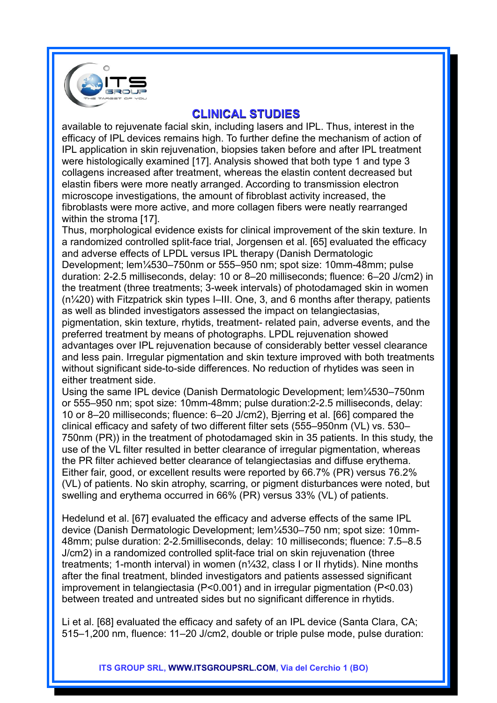

available to rejuvenate facial skin, including lasers and IPL. Thus, interest in the efficacy of IPL devices remains high. To further define the mechanism of action of IPL application in skin rejuvenation, biopsies taken before and after IPL treatment were histologically examined [17]. Analysis showed that both type 1 and type 3 collagens increased after treatment, whereas the elastin content decreased but elastin fibers were more neatly arranged. According to transmission electron microscope investigations, the amount of fibroblast activity increased, the fibroblasts were more active, and more collagen fibers were neatly rearranged within the stroma [17].

Thus, morphological evidence exists for clinical improvement of the skin texture. In a randomized controlled split-face trial, Jorgensen et al. [65] evaluated the efficacy and adverse effects of LPDL versus IPL therapy (Danish Dermatologic Development; lem¼530–750nm or 555–950 nm; spot size: 10mm-48mm; pulse duration: 2-2.5 milliseconds, delay: 10 or 8–20 milliseconds; fluence: 6–20 J/cm2) in the treatment (three treatments; 3-week intervals) of photodamaged skin in women (n¼20) with Fitzpatrick skin types I–III. One, 3, and 6 months after therapy, patients as well as blinded investigators assessed the impact on telangiectasias,

pigmentation, skin texture, rhytids, treatment- related pain, adverse events, and the preferred treatment by means of photographs. LPDL rejuvenation showed

advantages over IPL rejuvenation because of considerably better vessel clearance and less pain. Irregular pigmentation and skin texture improved with both treatments without significant side-to-side differences. No reduction of rhytides was seen in either treatment side.

Using the same IPL device (Danish Dermatologic Development; lem¼530–750nm or 555–950 nm; spot size: 10mm-48mm; pulse duration:2-2.5 milliseconds, delay: 10 or 8–20 milliseconds; fluence: 6–20 J/cm2), Bjerring et al. [66] compared the clinical efficacy and safety of two different filter sets (555–950nm (VL) vs. 530– 750nm (PR)) in the treatment of photodamaged skin in 35 patients. In this study, the use of the VL filter resulted in better clearance of irregular pigmentation, whereas the PR filter achieved better clearance of telangiectasias and diffuse erythema. Either fair, good, or excellent results were reported by 66.7% (PR) versus 76.2% (VL) of patients. No skin atrophy, scarring, or pigment disturbances were noted, but swelling and erythema occurred in 66% (PR) versus 33% (VL) of patients.

Hedelund et al. [67] evaluated the efficacy and adverse effects of the same IPL device (Danish Dermatologic Development; lem¼530–750 nm; spot size: 10mm-48mm; pulse duration: 2-2.5milliseconds, delay: 10 milliseconds; fluence: 7.5–8.5 J/cm2) in a randomized controlled split-face trial on skin rejuvenation (three treatments; 1-month interval) in women (n¼32, class I or II rhytids). Nine months after the final treatment, blinded investigators and patients assessed significant improvement in telangiectasia (P<0.001) and in irregular pigmentation (P<0.03) between treated and untreated sides but no significant difference in rhytids.

Li et al. [68] evaluated the efficacy and safety of an IPL device (Santa Clara, CA; 515–1,200 nm, fluence: 11–20 J/cm2, double or triple pulse mode, pulse duration: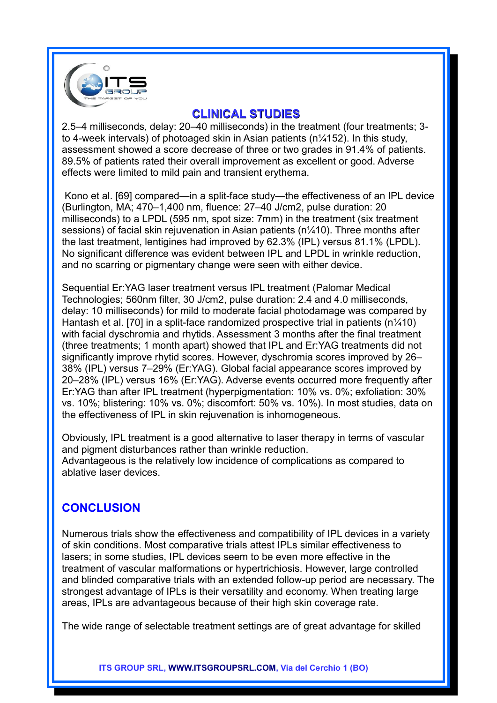

2.5–4 milliseconds, delay: 20–40 milliseconds) in the treatment (four treatments; 3 to 4-week intervals) of photoaged skin in Asian patients (n¼152). In this study, assessment showed a score decrease of three or two grades in 91.4% of patients. 89.5% of patients rated their overall improvement as excellent or good. Adverse effects were limited to mild pain and transient erythema.

Kono et al. [69] compared—in a split-face study—the effectiveness of an IPL device (Burlington, MA; 470–1,400 nm, fluence: 27–40 J/cm2, pulse duration: 20 milliseconds) to a LPDL (595 nm, spot size: 7mm) in the treatment (six treatment sessions) of facial skin rejuvenation in Asian patients (n<sup>1</sup>/<sub>4</sub>10). Three months after the last treatment, lentigines had improved by 62.3% (IPL) versus 81.1% (LPDL). No significant difference was evident between IPL and LPDL in wrinkle reduction, and no scarring or pigmentary change were seen with either device.

Sequential Er:YAG laser treatment versus IPL treatment (Palomar Medical Technologies; 560nm filter, 30 J/cm2, pulse duration: 2.4 and 4.0 milliseconds, delay: 10 milliseconds) for mild to moderate facial photodamage was compared by Hantash et al. [70] in a split-face randomized prospective trial in patients (n<sup>1</sup>/<sub>410</sub>) with facial dyschromia and rhytids. Assessment 3 months after the final treatment (three treatments; 1 month apart) showed that IPL and Er:YAG treatments did not significantly improve rhytid scores. However, dyschromia scores improved by 26– 38% (IPL) versus 7–29% (Er:YAG). Global facial appearance scores improved by 20–28% (IPL) versus 16% (Er:YAG). Adverse events occurred more frequently after Er:YAG than after IPL treatment (hyperpigmentation: 10% vs. 0%; exfoliation: 30% vs. 10%; blistering: 10% vs. 0%; discomfort: 50% vs. 10%). In most studies, data on the effectiveness of IPL in skin rejuvenation is inhomogeneous.

Obviously, IPL treatment is a good alternative to laser therapy in terms of vascular and pigment disturbances rather than wrinkle reduction. Advantageous is the relatively low incidence of complications as compared to ablative laser devices.

### **CONCLUSION**

Numerous trials show the effectiveness and compatibility of IPL devices in a variety of skin conditions. Most comparative trials attest IPLs similar effectiveness to lasers; in some studies, IPL devices seem to be even more effective in the treatment of vascular malformations or hypertrichiosis. However, large controlled and blinded comparative trials with an extended follow-up period are necessary. The strongest advantage of IPLs is their versatility and economy. When treating large areas, IPLs are advantageous because of their high skin coverage rate.

The wide range of selectable treatment settings are of great advantage for skilled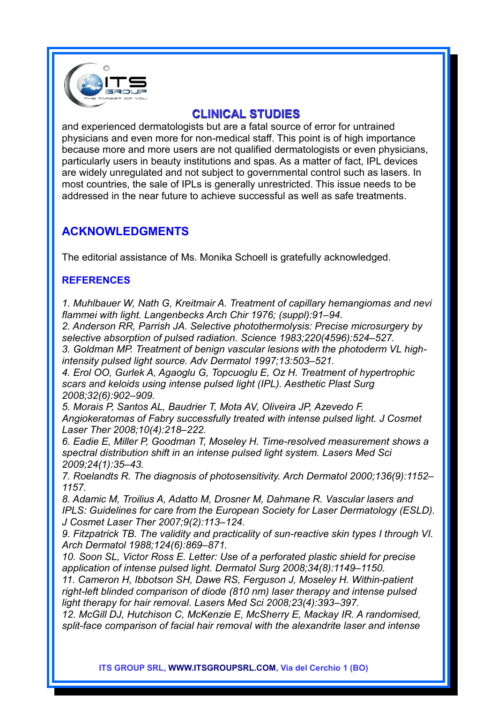

and experienced dermatologists but are a fatal source of error for untrained physicians and even more for non-medical staff. This point is of high importance because more and more users are not qualified dermatologists or even physicians, particularly users in beauty institutions and spas. As a matter of fact, IPL devices are widely unregulated and not subject to governmental control such as lasers. In most countries, the sale of IPLs is generally unrestricted. This issue needs to be addressed in the near future to achieve successful as well as safe treatments.

# **ACKNOWLEDGMENTS**

The editorial assistance of Ms. Monika Schoell is gratefully acknowledged.

#### **REFERENCES**

*1. Muhlbauer W, Nath G, Kreitmair A. Treatment of capillary hemangiomas and nevi flammei with light. Langenbecks Arch Chir 1976; (suppl):91–94.*

*2. Anderson RR, Parrish JA. Selective photothermolysis: Precise microsurgery by selective absorption of pulsed radiation. Science 1983;220(4596):524–527.*

*3. Goldman MP. Treatment of benign vascular lesions with the photoderm VL highintensity pulsed light source. Adv Dermatol 1997;13:503–521.*

*4. Erol OO, Gurlek A, Agaoglu G, Topcuoglu E, Oz H. Treatment of hypertrophic scars and keloids using intense pulsed light (IPL). Aesthetic Plast Surg 2008;32(6):902–909.*

*5. Morais P, Santos AL, Baudrier T, Mota AV, Oliveira JP, Azevedo F. Angiokeratomas of Fabry successfully treated with intense pulsed light. J Cosmet Laser Ther 2008;10(4):218–222.*

*6. Eadie E, Miller P, Goodman T, Moseley H. Time-resolved measurement shows a spectral distribution shift in an intense pulsed light system. Lasers Med Sci 2009;24(1):35–43.*

*7. Roelandts R. The diagnosis of photosensitivity. Arch Dermatol 2000;136(9):1152– 1157.*

*8. Adamic M, Troilius A, Adatto M, Drosner M, Dahmane R. Vascular lasers and IPLS: Guidelines for care from the European Society for Laser Dermatology (ESLD). J Cosmet Laser Ther 2007;9(2):113–124.*

*9. Fitzpatrick TB. The validity and practicality of sun-reactive skin types I through VI. Arch Dermatol 1988;124(6):869–871.*

*10. Soon SL, Victor Ross E. Letter: Use of a perforated plastic shield for precise application of intense pulsed light. Dermatol Surg 2008;34(8):1149–1150.*

*11. Cameron H, Ibbotson SH, Dawe RS, Ferguson J, Moseley H. Within-patient right-left blinded comparison of diode (810 nm) laser therapy and intense pulsed light therapy for hair removal. Lasers Med Sci 2008;23(4):393–397.*

*12. McGill DJ, Hutchison C, McKenzie E, McSherry E, Mackay IR. A randomised, split-face comparison of facial hair removal with the alexandrite laser and intense*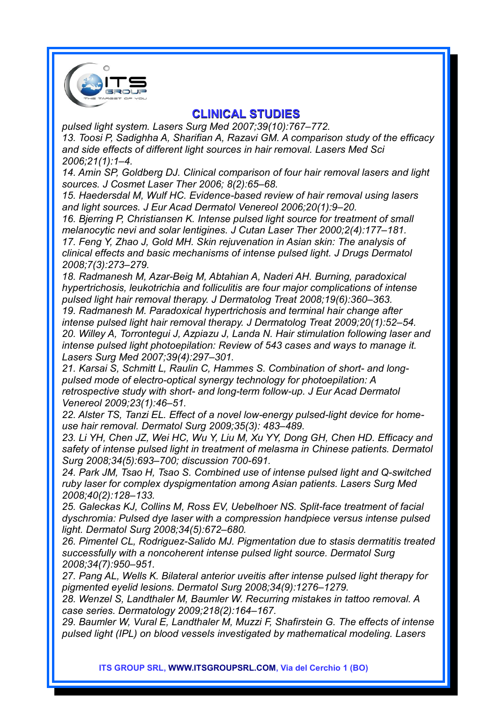

*pulsed light system. Lasers Surg Med 2007;39(10):767–772. 13. Toosi P, Sadighha A, Sharifian A, Razavi GM. A comparison study of the efficacy* 

*and side effects of different light sources in hair removal. Lasers Med Sci 2006;21(1):1–4.*

*14. Amin SP, Goldberg DJ. Clinical comparison of four hair removal lasers and light sources. J Cosmet Laser Ther 2006; 8(2):65–68.*

*15. Haedersdal M, Wulf HC. Evidence-based review of hair removal using lasers and light sources. J Eur Acad Dermatol Venereol 2006;20(1):9–20.*

*16. Bjerring P, Christiansen K. Intense pulsed light source for treatment of small melanocytic nevi and solar lentigines. J Cutan Laser Ther 2000;2(4):177–181. 17. Feng Y, Zhao J, Gold MH. Skin rejuvenation in Asian skin: The analysis of clinical effects and basic mechanisms of intense pulsed light. J Drugs Dermatol 2008;7(3):273–279.*

*18. Radmanesh M, Azar-Beig M, Abtahian A, Naderi AH. Burning, paradoxical hypertrichosis, leukotrichia and folliculitis are four major complications of intense pulsed light hair removal therapy. J Dermatolog Treat 2008;19(6):360–363.*

*19. Radmanesh M. Paradoxical hypertrichosis and terminal hair change after intense pulsed light hair removal therapy. J Dermatolog Treat 2009;20(1):52–54. 20. Willey A, Torrontegui J, Azpiazu J, Landa N. Hair stimulation following laser and intense pulsed light photoepilation: Review of 543 cases and ways to manage it. Lasers Surg Med 2007;39(4):297–301.*

*21. Karsai S, Schmitt L, Raulin C, Hammes S. Combination of short- and longpulsed mode of electro-optical synergy technology for photoepilation: A retrospective study with short- and long-term follow-up. J Eur Acad Dermatol Venereol 2009;23(1):46–51.*

*22. Alster TS, Tanzi EL. Effect of a novel low-energy pulsed-light device for homeuse hair removal. Dermatol Surg 2009;35(3): 483–489.*

23. Li YH, Chen JZ, Wei HC, Wu Y, Liu M, Xu YY, Dong GH, Chen HD. Efficacy and *safety of intense pulsed light in treatment of melasma in Chinese patients. Dermatol Surg 2008;34(5):693–700; discussion 700-691.*

*24. Park JM, Tsao H, Tsao S. Combined use of intense pulsed light and Q-switched ruby laser for complex dyspigmentation among Asian patients. Lasers Surg Med 2008;40(2):128–133.*

*25. Galeckas KJ, Collins M, Ross EV, Uebelhoer NS. Split-face treatment of facial dyschromia: Pulsed dye laser with a compression handpiece versus intense pulsed light. Dermatol Surg 2008;34(5):672–680.*

*26. Pimentel CL, Rodriguez-Salido MJ. Pigmentation due to stasis dermatitis treated successfully with a noncoherent intense pulsed light source. Dermatol Surg 2008;34(7):950–951.*

*27. Pang AL, Wells K. Bilateral anterior uveitis after intense pulsed light therapy for pigmented eyelid lesions. Dermatol Surg 2008;34(9):1276–1279.*

*28. Wenzel S, Landthaler M, Baumler W. Recurring mistakes in tattoo removal. A case series. Dermatology 2009;218(2):164–167.*

*29. Baumler W, Vural E, Landthaler M, Muzzi F, Shafirstein G. The effects of intense pulsed light (IPL) on blood vessels investigated by mathematical modeling. Lasers*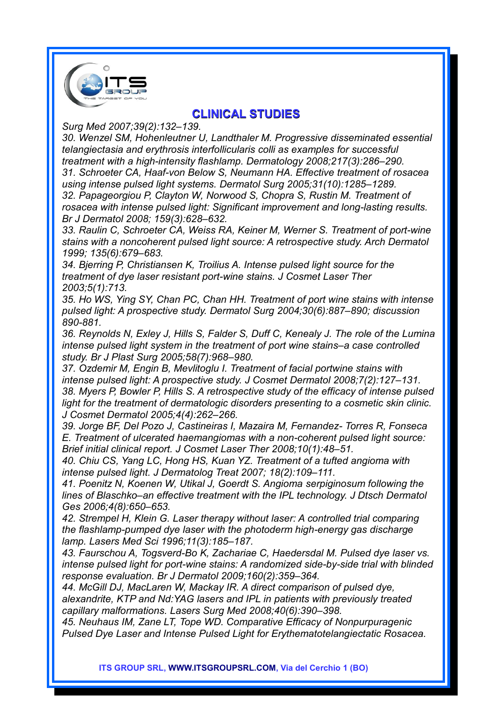

*Surg Med 2007;39(2):132–139.*

*30. Wenzel SM, Hohenleutner U, Landthaler M. Progressive disseminated essential telangiectasia and erythrosis interfollicularis colli as examples for successful treatment with a high-intensity flashlamp. Dermatology 2008;217(3):286–290. 31. Schroeter CA, Haaf-von Below S, Neumann HA. Effective treatment of rosacea using intense pulsed light systems. Dermatol Surg 2005;31(10):1285–1289. 32. Papageorgiou P, Clayton W, Norwood S, Chopra S, Rustin M. Treatment of rosacea with intense pulsed light: Significant improvement and long-lasting results. Br J Dermatol 2008; 159(3):628–632.*

*33. Raulin C, Schroeter CA, Weiss RA, Keiner M, Werner S. Treatment of port-wine stains with a noncoherent pulsed light source: A retrospective study. Arch Dermatol 1999; 135(6):679–683.*

*34. Bjerring P, Christiansen K, Troilius A. Intense pulsed light source for the treatment of dye laser resistant port-wine stains. J Cosmet Laser Ther 2003;5(1):713.*

*35. Ho WS, Ying SY, Chan PC, Chan HH. Treatment of port wine stains with intense pulsed light: A prospective study. Dermatol Surg 2004;30(6):887–890; discussion 890-881.*

*36. Reynolds N, Exley J, Hills S, Falder S, Duff C, Kenealy J. The role of the Lumina intense pulsed light system in the treatment of port wine stains–a case controlled study. Br J Plast Surg 2005;58(7):968–980.*

*37. Ozdemir M, Engin B, Mevlitoglu I. Treatment of facial portwine stains with intense pulsed light: A prospective study. J Cosmet Dermatol 2008;7(2):127–131. 38. Myers P, Bowler P, Hills S. A retrospective study of the efficacy of intense pulsed light for the treatment of dermatologic disorders presenting to a cosmetic skin clinic. J Cosmet Dermatol 2005;4(4):262–266.*

*39. Jorge BF, Del Pozo J, Castineiras I, Mazaira M, Fernandez- Torres R, Fonseca E. Treatment of ulcerated haemangiomas with a non-coherent pulsed light source: Brief initial clinical report. J Cosmet Laser Ther 2008;10(1):48–51.*

*40. Chiu CS, Yang LC, Hong HS, Kuan YZ. Treatment of a tufted angioma with intense pulsed light. J Dermatolog Treat 2007; 18(2):109–111.*

*41. Poenitz N, Koenen W, Utikal J, Goerdt S. Angioma serpiginosum following the lines of Blaschko–an effective treatment with the IPL technology. J Dtsch Dermatol Ges 2006;4(8):650–653.*

*42. Strempel H, Klein G. Laser therapy without laser: A controlled trial comparing the flashlamp-pumped dye laser with the photoderm high-energy gas discharge lamp. Lasers Med Sci 1996;11(3):185–187.*

*43. Faurschou A, Togsverd-Bo K, Zachariae C, Haedersdal M. Pulsed dye laser vs. intense pulsed light for port-wine stains: A randomized side-by-side trial with blinded response evaluation. Br J Dermatol 2009;160(2):359–364.*

*44. McGill DJ, MacLaren W, Mackay IR. A direct comparison of pulsed dye, alexandrite, KTP and Nd:YAG lasers and IPL in patients with previously treated capillary malformations. Lasers Surg Med 2008;40(6):390–398.*

*45. Neuhaus IM, Zane LT, Tope WD. Comparative Efficacy of Nonpurpuragenic Pulsed Dye Laser and Intense Pulsed Light for Erythematotelangiectatic Rosacea.*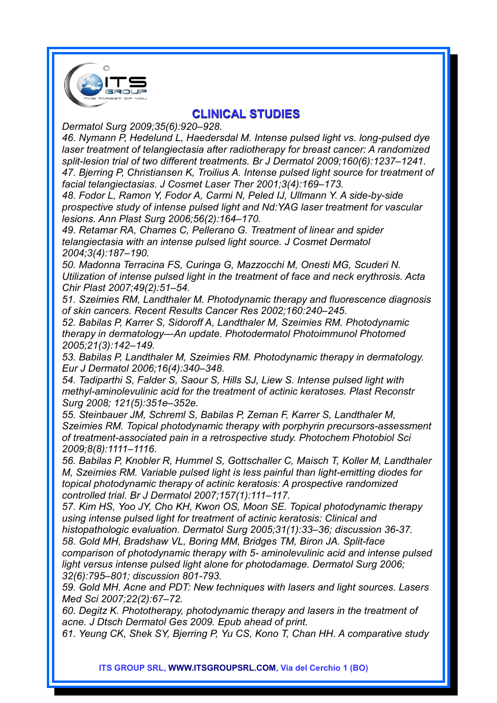

*Dermatol Surg 2009;35(6):920–928.*

*46. Nymann P, Hedelund L, Haedersdal M. Intense pulsed light vs. long-pulsed dye laser treatment of telangiectasia after radiotherapy for breast cancer: A randomized split-lesion trial of two different treatments. Br J Dermatol 2009;160(6):1237–1241. 47. Bjerring P, Christiansen K, Troilius A. Intense pulsed light source for treatment of facial telangiectasias. J Cosmet Laser Ther 2001;3(4):169–173.*

*48. Fodor L, Ramon Y, Fodor A, Carmi N, Peled IJ, Ullmann Y. A side-by-side prospective study of intense pulsed light and Nd:YAG laser treatment for vascular lesions. Ann Plast Surg 2006;56(2):164–170.*

*49. Retamar RA, Chames C, Pellerano G. Treatment of linear and spider telangiectasia with an intense pulsed light source. J Cosmet Dermatol 2004;3(4):187–190.*

*50. Madonna Terracina FS, Curinga G, Mazzocchi M, Onesti MG, Scuderi N. Utilization of intense pulsed light in the treatment of face and neck erythrosis. Acta Chir Plast 2007;49(2):51–54.*

*51. Szeimies RM, Landthaler M. Photodynamic therapy and fluorescence diagnosis of skin cancers. Recent Results Cancer Res 2002;160:240–245.*

*52. Babilas P, Karrer S, Sidoroff A, Landthaler M, Szeimies RM. Photodynamic therapy in dermatology—An update. Photodermatol Photoimmunol Photomed 2005;21(3):142–149.*

*53. Babilas P, Landthaler M, Szeimies RM. Photodynamic therapy in dermatology. Eur J Dermatol 2006;16(4):340–348.*

*54. Tadiparthi S, Falder S, Saour S, Hills SJ, Liew S. Intense pulsed light with methyl-aminolevulinic acid for the treatment of actinic keratoses. Plast Reconstr Surg 2008; 121(5):351e–352e.*

*55. Steinbauer JM, Schreml S, Babilas P, Zeman F, Karrer S, Landthaler M, Szeimies RM. Topical photodynamic therapy with porphyrin precursors-assessment of treatment-associated pain in a retrospective study. Photochem Photobiol Sci 2009;8(8):1111–1116.*

*56. Babilas P, Knobler R, Hummel S, Gottschaller C, Maisch T, Koller M, Landthaler M, Szeimies RM. Variable pulsed light is less painful than light-emitting diodes for topical photodynamic therapy of actinic keratosis: A prospective randomized controlled trial. Br J Dermatol 2007;157(1):111–117.*

*57. Kim HS, Yoo JY, Cho KH, Kwon OS, Moon SE. Topical photodynamic therapy using intense pulsed light for treatment of actinic keratosis: Clinical and* 

*histopathologic evaluation. Dermatol Surg 2005;31(1):33–36; discussion 36-37. 58. Gold MH, Bradshaw VL, Boring MM, Bridges TM, Biron JA. Split-face comparison of photodynamic therapy with 5- aminolevulinic acid and intense pulsed light versus intense pulsed light alone for photodamage. Dermatol Surg 2006; 32(6):795–801; discussion 801-793.*

*59. Gold MH. Acne and PDT: New techniques with lasers and light sources. Lasers Med Sci 2007;22(2):67–72.*

*60. Degitz K. Phototherapy, photodynamic therapy and lasers in the treatment of acne. J Dtsch Dermatol Ges 2009. Epub ahead of print.*

*61. Yeung CK, Shek SY, Bjerring P, Yu CS, Kono T, Chan HH. A comparative study*